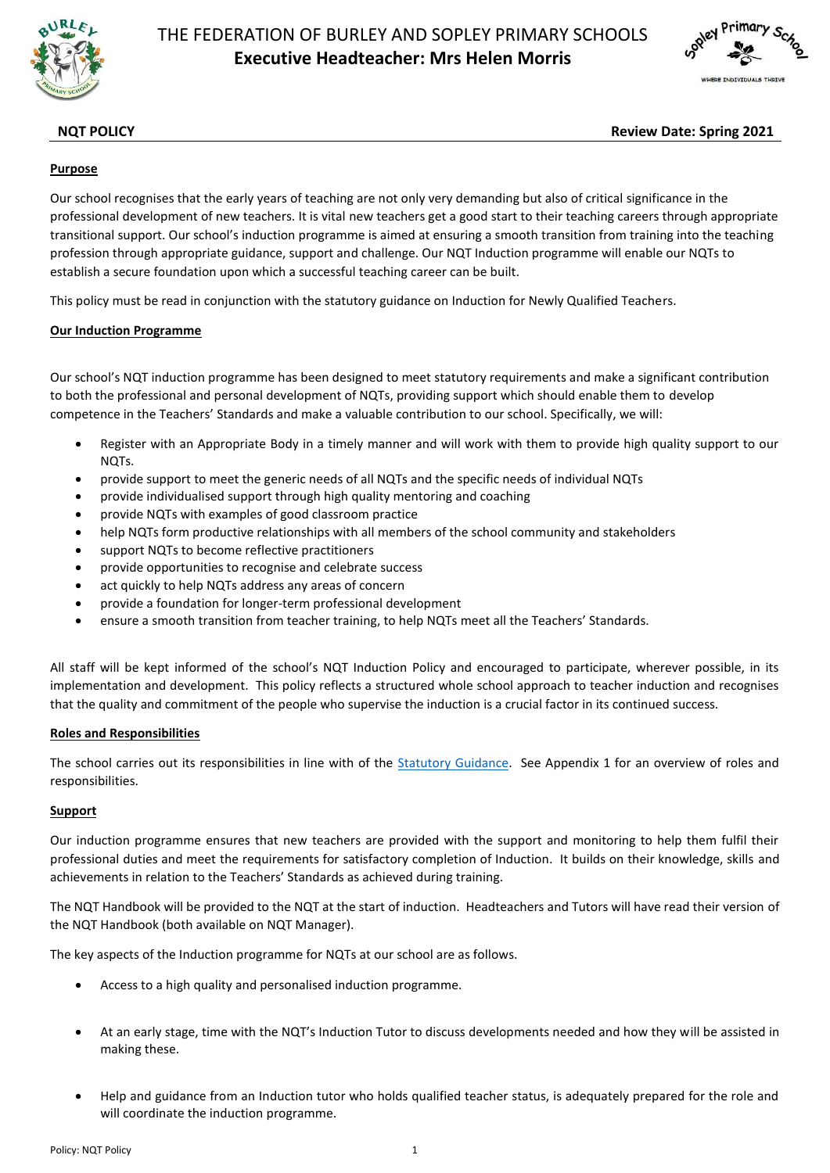



# **NQT POLICY Review Date: Spring 2021**

# **Purpose**

Our school recognises that the early years of teaching are not only very demanding but also of critical significance in the professional development of new teachers. It is vital new teachers get a good start to their teaching careers through appropriate transitional support. Our school's induction programme is aimed at ensuring a smooth transition from training into the teaching profession through appropriate guidance, support and challenge. Our NQT Induction programme will enable our NQTs to establish a secure foundation upon which a successful teaching career can be built.

This policy must be read in conjunction with the statutory guidance on Induction for Newly Qualified Teachers.

# **Our Induction Programme**

Our school's NQT induction programme has been designed to meet statutory requirements and make a significant contribution to both the professional and personal development of NQTs, providing support which should enable them to develop competence in the Teachers' Standards and make a valuable contribution to our school. Specifically, we will:

- Register with an Appropriate Body in a timely manner and will work with them to provide high quality support to our NQTs.
- provide support to meet the generic needs of all NQTs and the specific needs of individual NQTs
- provide individualised support through high quality mentoring and coaching
- provide NQTs with examples of good classroom practice
- help NQTs form productive relationships with all members of the school community and stakeholders
- support NQTs to become reflective practitioners
- provide opportunities to recognise and celebrate success
- act quickly to help NQTs address any areas of concern
- provide a foundation for longer-term professional development
- ensure a smooth transition from teacher training, to help NQTs meet all the Teachers' Standards.

All staff will be kept informed of the school's NQT Induction Policy and encouraged to participate, wherever possible, in its implementation and development. This policy reflects a structured whole school approach to teacher induction and recognises that the quality and commitment of the people who supervise the induction is a crucial factor in its continued success.

# **Roles and Responsibilities**

The school carries out its responsibilities in line with of the [Statutory Guidance.](https://www.gov.uk/government/publications/induction-for-newly-qualified-teachers-nqts) See Appendix 1 for an overview of roles and responsibilities.

# **Support**

Our induction programme ensures that new teachers are provided with the support and monitoring to help them fulfil their professional duties and meet the requirements for satisfactory completion of Induction. It builds on their knowledge, skills and achievements in relation to the Teachers' Standards as achieved during training.

The NQT Handbook will be provided to the NQT at the start of induction. Headteachers and Tutors will have read their version of the NQT Handbook (both available on NQT Manager).

The key aspects of the Induction programme for NQTs at our school are as follows.

- Access to a high quality and personalised induction programme.
- At an early stage, time with the NQT's Induction Tutor to discuss developments needed and how they will be assisted in making these.
- Help and guidance from an Induction tutor who holds qualified teacher status, is adequately prepared for the role and will coordinate the induction programme.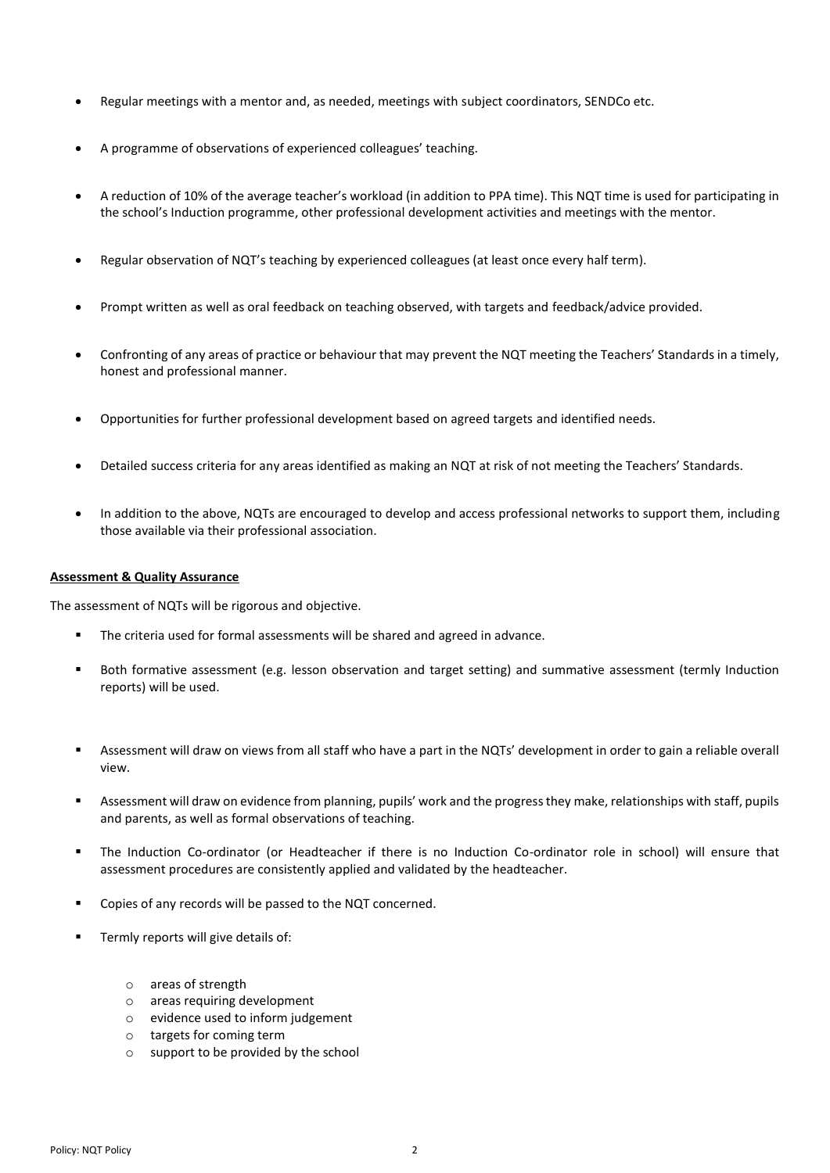- Regular meetings with a mentor and, as needed, meetings with subject coordinators, SENDCo etc.
- A programme of observations of experienced colleagues' teaching.
- A reduction of 10% of the average teacher's workload (in addition to PPA time). This NQT time is used for participating in the school's Induction programme, other professional development activities and meetings with the mentor.
- Regular observation of NQT's teaching by experienced colleagues (at least once every half term).
- Prompt written as well as oral feedback on teaching observed, with targets and feedback/advice provided.
- Confronting of any areas of practice or behaviour that may prevent the NQT meeting the Teachers' Standards in a timely, honest and professional manner.
- Opportunities for further professional development based on agreed targets and identified needs.
- Detailed success criteria for any areas identified as making an NQT at risk of not meeting the Teachers' Standards.
- In addition to the above, NQTs are encouraged to develop and access professional networks to support them, including those available via their professional association.

### **Assessment & Quality Assurance**

The assessment of NQTs will be rigorous and objective.

- The criteria used for formal assessments will be shared and agreed in advance.
- Both formative assessment (e.g. lesson observation and target setting) and summative assessment (termly Induction reports) will be used.
- Assessment will draw on views from all staff who have a part in the NQTs' development in order to gain a reliable overall view.
- Assessment will draw on evidence from planning, pupils' work and the progress they make, relationships with staff, pupils and parents, as well as formal observations of teaching.
- The Induction Co-ordinator (or Headteacher if there is no Induction Co-ordinator role in school) will ensure that assessment procedures are consistently applied and validated by the headteacher.
- Copies of any records will be passed to the NQT concerned.
- Termly reports will give details of:
	- o areas of strength
	- o areas requiring development
	- o evidence used to inform judgement
	- o targets for coming term
	- o support to be provided by the school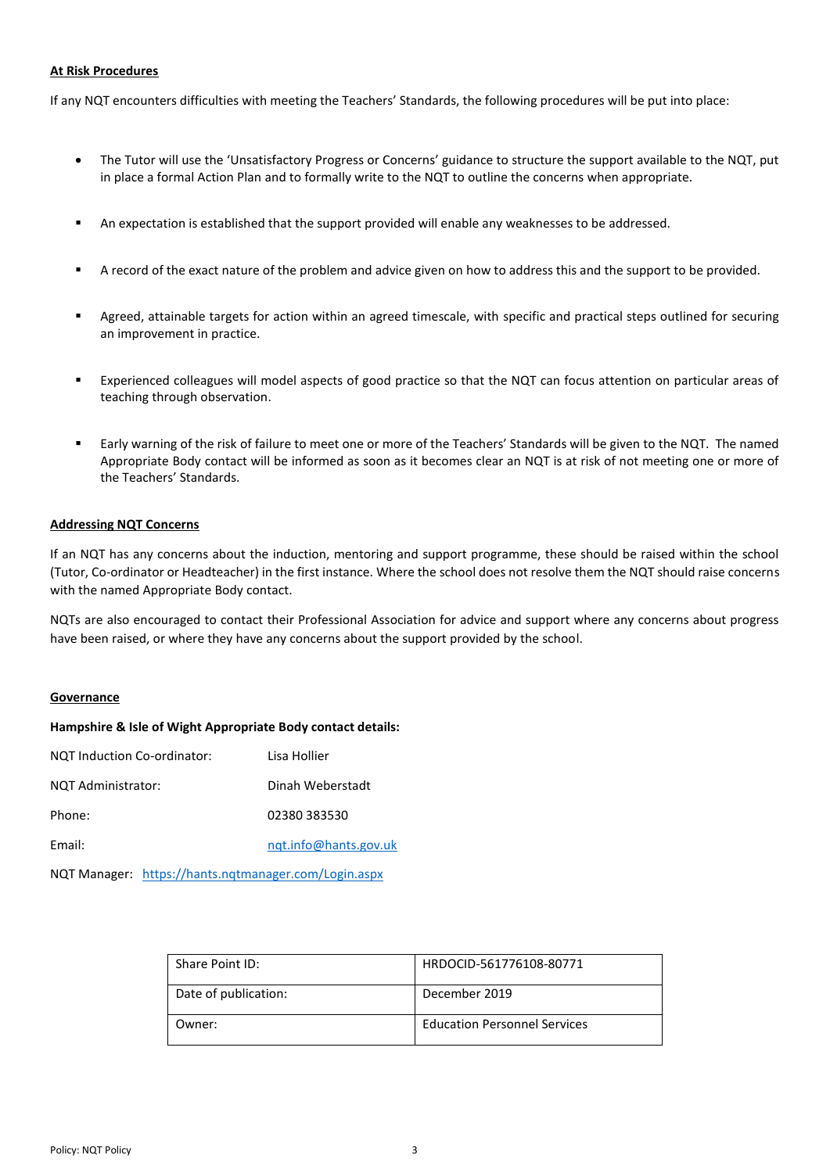## **At Risk Procedures**

If any NQT encounters difficulties with meeting the Teachers' Standards, the following procedures will be put into place:

- The Tutor will use the 'Unsatisfactory Progress or Concerns' guidance to structure the support available to the NQT, put in place a formal Action Plan and to formally write to the NQT to outline the concerns when appropriate.
- An expectation is established that the support provided will enable any weaknesses to be addressed.
- A record of the exact nature of the problem and advice given on how to address this and the support to be provided.
- Agreed, attainable targets for action within an agreed timescale, with specific and practical steps outlined for securing an improvement in practice.
- Experienced colleagues will model aspects of good practice so that the NQT can focus attention on particular areas of teaching through observation.
- Early warning of the risk of failure to meet one or more of the Teachers' Standards will be given to the NQT. The named Appropriate Body contact will be informed as soon as it becomes clear an NQT is at risk of not meeting one or more of the Teachers' Standards.

## **Addressing NQT Concerns**

If an NQT has any concerns about the induction, mentoring and support programme, these should be raised within the school (Tutor, Co-ordinator or Headteacher) in the first instance. Where the school does not resolve them the NQT should raise concerns with the named Appropriate Body contact.

NQTs are also encouraged to contact their Professional Association for advice and support where any concerns about progress have been raised, or where they have any concerns about the support provided by the school.

### **Governance**

### **Hampshire & Isle of Wight Appropriate Body contact details:**

| NQT Induction Co-ordinator: | Lisa Hollier          |
|-----------------------------|-----------------------|
| NQT Administrator:          | Dinah Weberstadt      |
| Phone:                      | 02380 383530          |
| Email:                      | ngt.info@hants.gov.uk |
|                             |                       |

NQT Manager: <https://hants.nqtmanager.com/Login.aspx>

| Share Point ID:      | HRDOCID-561776108-80771             |
|----------------------|-------------------------------------|
| Date of publication: | December 2019                       |
| Owner:               | <b>Education Personnel Services</b> |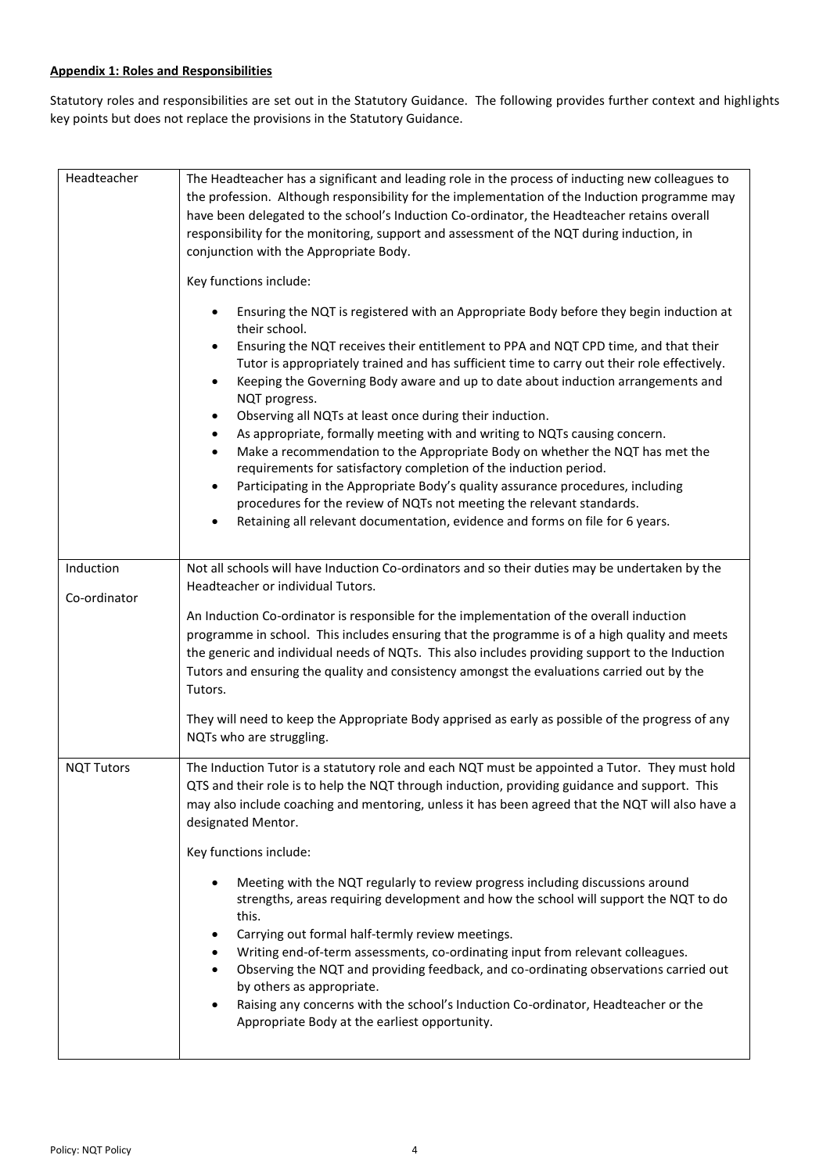# **Appendix 1: Roles and Responsibilities**

Statutory roles and responsibilities are set out in the Statutory Guidance. The following provides further context and highlights key points but does not replace the provisions in the Statutory Guidance.

| Headteacher       | The Headteacher has a significant and leading role in the process of inducting new colleagues to<br>the profession. Although responsibility for the implementation of the Induction programme may<br>have been delegated to the school's Induction Co-ordinator, the Headteacher retains overall<br>responsibility for the monitoring, support and assessment of the NQT during induction, in<br>conjunction with the Appropriate Body.<br>Key functions include:<br>Ensuring the NQT is registered with an Appropriate Body before they begin induction at                                                                                                                                                                                                                                                                                                                                                                                     |
|-------------------|-------------------------------------------------------------------------------------------------------------------------------------------------------------------------------------------------------------------------------------------------------------------------------------------------------------------------------------------------------------------------------------------------------------------------------------------------------------------------------------------------------------------------------------------------------------------------------------------------------------------------------------------------------------------------------------------------------------------------------------------------------------------------------------------------------------------------------------------------------------------------------------------------------------------------------------------------|
|                   | their school.<br>Ensuring the NQT receives their entitlement to PPA and NQT CPD time, and that their<br>$\bullet$<br>Tutor is appropriately trained and has sufficient time to carry out their role effectively.<br>Keeping the Governing Body aware and up to date about induction arrangements and<br>$\bullet$<br>NQT progress.<br>Observing all NQTs at least once during their induction.<br>$\bullet$<br>As appropriate, formally meeting with and writing to NQTs causing concern.<br>$\bullet$<br>Make a recommendation to the Appropriate Body on whether the NQT has met the<br>$\bullet$<br>requirements for satisfactory completion of the induction period.<br>Participating in the Appropriate Body's quality assurance procedures, including<br>$\bullet$<br>procedures for the review of NQTs not meeting the relevant standards.<br>Retaining all relevant documentation, evidence and forms on file for 6 years.<br>$\bullet$ |
| Induction         | Not all schools will have Induction Co-ordinators and so their duties may be undertaken by the                                                                                                                                                                                                                                                                                                                                                                                                                                                                                                                                                                                                                                                                                                                                                                                                                                                  |
| Co-ordinator      | Headteacher or individual Tutors.<br>An Induction Co-ordinator is responsible for the implementation of the overall induction<br>programme in school. This includes ensuring that the programme is of a high quality and meets<br>the generic and individual needs of NQTs. This also includes providing support to the Induction<br>Tutors and ensuring the quality and consistency amongst the evaluations carried out by the<br>Tutors.                                                                                                                                                                                                                                                                                                                                                                                                                                                                                                      |
|                   | They will need to keep the Appropriate Body apprised as early as possible of the progress of any<br>NQTs who are struggling.                                                                                                                                                                                                                                                                                                                                                                                                                                                                                                                                                                                                                                                                                                                                                                                                                    |
| <b>NQT Tutors</b> | The Induction Tutor is a statutory role and each NQT must be appointed a Tutor. They must hold<br>QTS and their role is to help the NQT through induction, providing guidance and support. This<br>may also include coaching and mentoring, unless it has been agreed that the NQT will also have a<br>designated Mentor.                                                                                                                                                                                                                                                                                                                                                                                                                                                                                                                                                                                                                       |
|                   | Key functions include:                                                                                                                                                                                                                                                                                                                                                                                                                                                                                                                                                                                                                                                                                                                                                                                                                                                                                                                          |
|                   | Meeting with the NQT regularly to review progress including discussions around<br>strengths, areas requiring development and how the school will support the NQT to do<br>this.<br>Carrying out formal half-termly review meetings.<br>Writing end-of-term assessments, co-ordinating input from relevant colleagues.<br>Observing the NQT and providing feedback, and co-ordinating observations carried out<br>by others as appropriate.<br>Raising any concerns with the school's Induction Co-ordinator, Headteacher or the<br>$\bullet$<br>Appropriate Body at the earliest opportunity.                                                                                                                                                                                                                                                                                                                                                   |